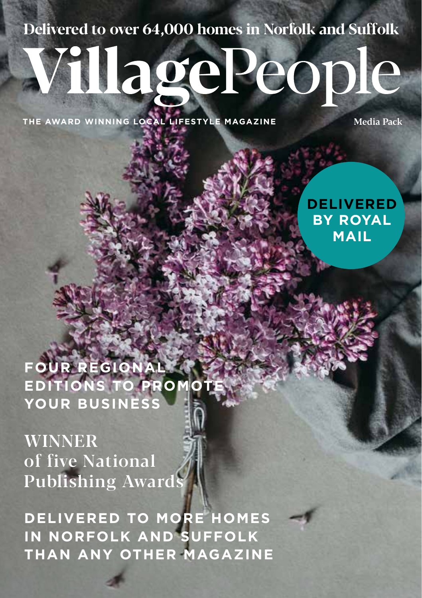#### **Delivered to over 64,000 homes in Norfolk and Suffolk**

# VillagePeople

**THE AWARD WINNING LOCAL LIFESTYLE MAGAZINE** 

**DELIVERED BY ROYAL MAIL**

**FOUR REGIONAL EDITIONS TO PROMOTE YOUR BUSINESS**

WINNER of five National Publishing Awards

**DELIVERED TO MORE HOMES IN NORFOLK AND SUFFOLK THAN ANY OTHER MAGAZINE**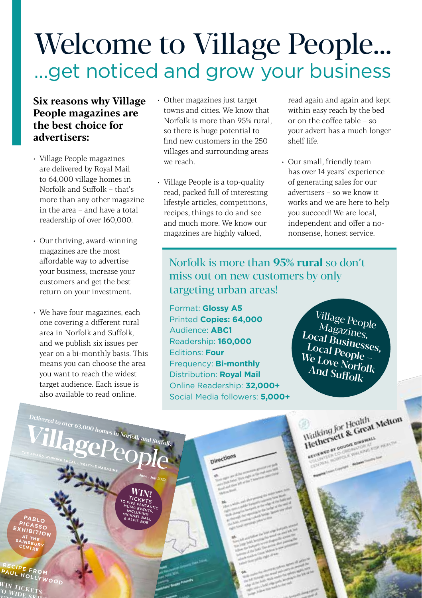### Welcome to Village People… …get noticed and grow your business

#### **Six reasons why Village People magazines are the best choice for advertisers:**

- Village People magazines are delivered by Royal Mail to 64,000 village homes in Norfolk and Suffolk – that's more than any other magazine in the area – and have a total readership of over 160,000.
- Our thriving, award-winning magazines are the most affordable way to advertise your business, increase your customers and get the best return on your investment.
- We have four magazines, each one covering a different rural area in Norfolk and Suffolk, and we publish six issues per year on a bi-monthly basis. This means you can choose the area you want to reach the widest target audience. Each issue is also available to read online.

**TillagePeople** 

**Delivered to over 63,000 homes in Norfolk and Suffolk**

 $J_\mathrm{Unc}$  /  $J_\mathrm{Uly}$  2022  $W_{INI}$ TICKETS<br>TO FIVE FANTASTIC<br>MUSIC EVENTASTIC MUSIC EVENTAST<br>INCLUDINTS, INCLUDING MICHAEL BALL & ALFIE BOE

- Other magazines just target towns and cities. We know that Norfolk is more than 95% rural, so there is huge potential to find new customers in the 250 villages and surrounding areas we reach.
- Village People is a top-quality read, packed full of interesting lifestyle articles, competitions, recipes, things to do and see and much more. We know our magazines are highly valued,

read again and again and kept within easy reach by the bed or on the coffee table – so your advert has a much longer shelf life.

• Our small, friendly team has over 14 years' experience of generating sales for our advertisers – so we know it works and we are here to help you succeed! We are local, independent and offer a nononsense, honest service.

#### Norfolk is more than **95% rural** so don't miss out on new customers by only targeting urban areas!

Format: **Glossy A5** Printed **Copies: 64,000** Audience: **ABC1** Readership: **160,000** Editions: **Four** Frequency: **Bi-monthly** Distribution: **Royal Mail** Online Readership: **32,000+** Social Media followers: **5,000+**

pirections

Village People Magazines, Local Businesses, Local People – We Love Norfolk And Suffolk

Walking for Health<br>Halking for Health<br>Hethersett & Great Melton **THETSELL & CALIFORNIA CONSULATION** 

**PABLO PICASSO EXHIBITION AT THE SAINSBURY CENTRE**

**RECIPE FROM**  PAUL HOLLYWOOD

WIN TICKETS  $\frac{1}{100}$   $\frac{1}{100}$   $\frac{1}{100}$   $\frac{1}{100}$   $\frac{1}{100}$   $\frac{1}{100}$  $B_{\text{B}}$  **BUT THE**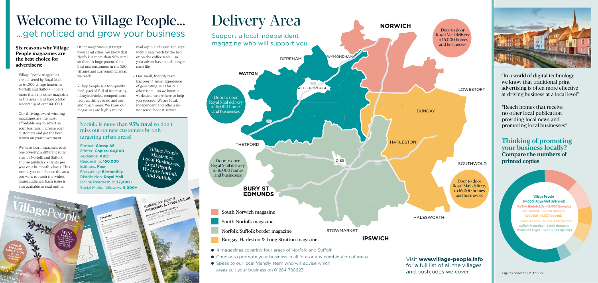

● Speak to our local friendly team who will advise which areas suit your business on 01284 788623

Visit **www.village-people.info**  for a full list of all the villages and postcodes we cover

providing local news and promoting local businesses" **Thinking of promoting your business locally?**

"Reach homes that receive no other local publication

"In a world of digital technology we know that traditional print advertising is often more effective at driving business at a local level"

**Compare the numbers of printed copies**

> **Village People 64,000 (Royal Mail delivered)** Suffolk Norfolk Life - 15.000 (bought) **EDP Norfolk – 12,650 (bought) Let's Talk – 8,137 (bought) Places & Faces – 8,000 (pick up only)** Suffolk Magazine - 8,000 (bought) **Vanilla East Anglia – 5,000 (pick up only)**

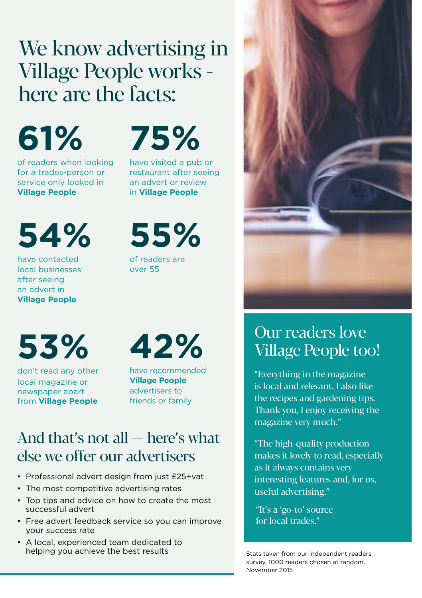#### We know advertising in Village People works here are the facts:

**61%**

of readers when looking for a trades-person or service only looked in **Village People**

## **75%**

have visited a pub or restaurant after seeing an advert or review in **Village People**

**54%**

have contacted local businesses after seeing an advert in **Village People**

**55%**

of readers are over 55

**53%**

don't read any other local magazine or newspaper apart from **Village People**

**42%**

have recommended **Village People**  advertisers to friends or family

#### And that's not all — here's what else we offer our advertisers

- Professional advert design from just £25+vat
- The most competitive advertising rates
- Top tips and advice on how to create the most successful advert
- Free advert feedback service so you can improve your success rate
- A local, experienced team dedicated to helping you achieve the best results



#### Our readers love Village People too!

"Everything in the magazine is local and relevant. I also like the recipes and gardening tips. Thank you, I enjoy receiving the magazine very much."

"The high-quality production makes it lovely to read, especially as it always contains very interesting features and, for us, useful advertising."

"It's a 'go-to' source for local trades."

Stats taken from our independent readers survey, 1000 readers chosen at random. November 2015